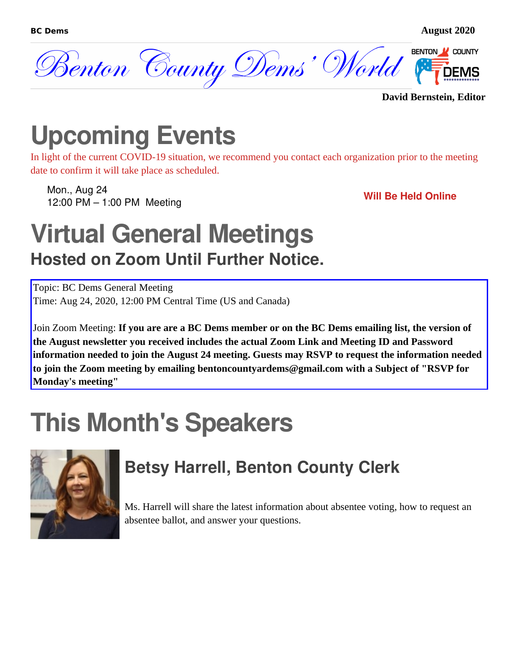

**David Bernstein, Editor**

## **Upcoming Events**

In light of the current COVID-19 situation, we recommend you contact each organization prior to the meeting date to confirm it will take place as scheduled.

Mon., Aug 24 12:00 PM – 1:00 PM Meeting **Will Be Held Online**

### **Virtual General Meetings Hosted on Zoom Until Further Notice.**

Topic: BC Dems General Meeting Time: Aug 24, 2020, 12:00 PM Central Time (US and Canada)

Join Zoom Meeting: **If you are are a BC Dems member or on the BC Dems emailing list, the version of the August newsletter you received includes the actual Zoom Link and Meeting ID and Password information needed to join the August 24 meeting. Guests may RSVP to request the information needed to join the Zoom meeting by emailing bentoncountyardems@gmail.com with a Subject of "RSVP for Monday's meeting"**

# **This Month's Speakers**



#### **Betsy Harrell, Benton County Clerk**

Ms. Harrell will share the latest information about absentee voting, how to request an absentee ballot, and answer your questions.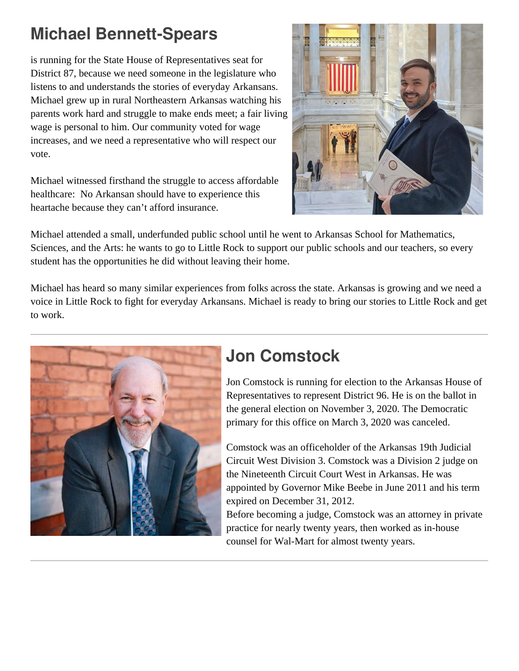#### **Michael Bennett-Spears**

is running for the State House of Representatives seat for District 87, because we need someone in the legislature who listens to and understands the stories of everyday Arkansans. Michael grew up in rural Northeastern Arkansas watching his parents work hard and struggle to make ends meet; a fair living wage is personal to him. Our community voted for wage increases, and we need a representative who will respect our vote.

Michael witnessed firsthand the struggle to access affordable healthcare: No Arkansan should have to experience this heartache because they can't afford insurance.



Michael attended a small, underfunded public school until he went to Arkansas School for Mathematics, Sciences, and the Arts: he wants to go to Little Rock to support our public schools and our teachers, so every student has the opportunities he did without leaving their home.

Michael has heard so many similar experiences from folks across the state. Arkansas is growing and we need a voice in Little Rock to fight for everyday Arkansans. Michael is ready to bring our stories to Little Rock and get to work.



#### **Jon Comstock**

Jon Comstock is running for election to the Arkansas House of Representatives to represent District 96. He is on the ballot in the general election on November 3, 2020. The Democratic primary for this office on March 3, 2020 was canceled.

Comstock was an officeholder of the Arkansas 19th Judicial Circuit West Division 3. Comstock was a Division 2 judge on the Nineteenth Circuit Court West in Arkansas. He was appointed by Governor Mike Beebe in June 2011 and his term expired on December 31, 2012.

Before becoming a judge, Comstock was an attorney in private practice for nearly twenty years, then worked as in-house counsel for Wal-Mart for almost twenty years.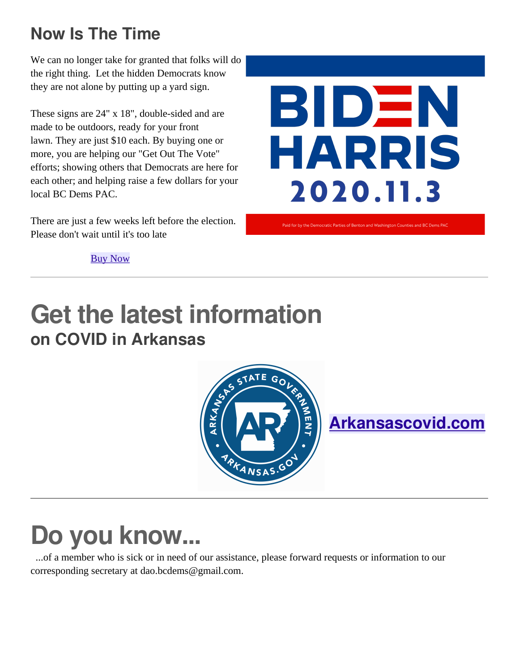#### **Now Is The Time**

We can no longer take for granted that folks will do the right thing. Let the hidden Democrats know they are not alone by putting up a yard sign.

These signs are 24" x 18", double-sided and are made to be outdoors, ready for your front lawn. They are just \$10 each. By buying one or more, you are helping our "Get Out The Vote" efforts; showing others that Democrats are here for each other; and helping raise a few dollars for your local BC Dems PAC.

There are just a few weeks left before the election. Please don't wait until it's too late



[Buy Now](https://www.bcdems.org/store/p9/Biden_Harris_Signs_(Benton%2FWashington_CO%2C_AR).html)

### **Get the latest information on COVID in Arkansas**



**[Arkansascovid.com](http://arkansascovid.com/)**

## **Do you know...**

 ...of a member who is sick or in need of our assistance, please forward requests or information to our corresponding secretary at dao.bcdems@gmail.com.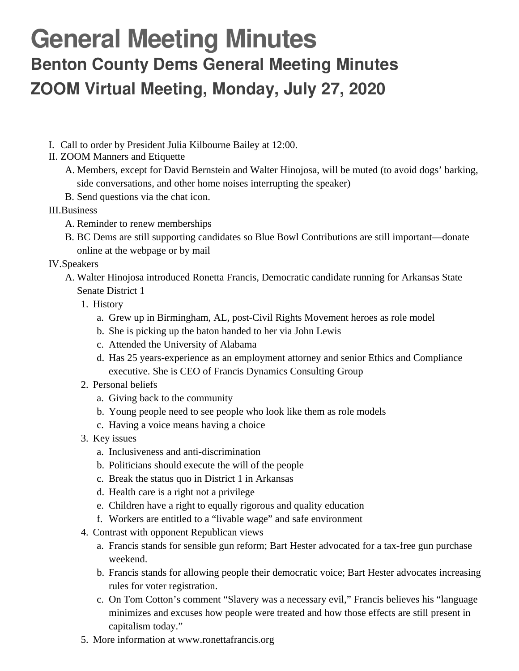### **General Meeting Minutes Benton County Dems General Meeting Minutes ZOOM Virtual Meeting, Monday, July 27, 2020**

- I. Call to order by President Julia Kilbourne Bailey at 12:00.
- II. ZOOM Manners and Etiquette
	- A. Members, except for David Bernstein and Walter Hinojosa, will be muted (to avoid dogs' barking, side conversations, and other home noises interrupting the speaker)
	- B. Send questions via the chat icon.
- III.Business
	- A. Reminder to renew memberships
	- B. BC Dems are still supporting candidates so Blue Bowl Contributions are still important—donate online at the webpage or by mail
- IV.Speakers
	- A. Walter Hinojosa introduced Ronetta Francis, Democratic candidate running for Arkansas State Senate District 1
		- 1. History
			- a. Grew up in Birmingham, AL, post-Civil Rights Movement heroes as role model
			- b. She is picking up the baton handed to her via John Lewis
			- c. Attended the University of Alabama
			- d. Has 25 years-experience as an employment attorney and senior Ethics and Compliance executive. She is CEO of Francis Dynamics Consulting Group
		- 2. Personal beliefs
			- a. Giving back to the community
			- b. Young people need to see people who look like them as role models
			- c. Having a voice means having a choice
		- 3. Key issues
			- a. Inclusiveness and anti-discrimination
			- b. Politicians should execute the will of the people
			- c. Break the status quo in District 1 in Arkansas
			- d. Health care is a right not a privilege
			- e. Children have a right to equally rigorous and quality education
			- f. Workers are entitled to a "livable wage" and safe environment
		- 4. Contrast with opponent Republican views
			- a. Francis stands for sensible gun reform; Bart Hester advocated for a tax-free gun purchase weekend.
			- b. Francis stands for allowing people their democratic voice; Bart Hester advocates increasing rules for voter registration.
			- c. On Tom Cotton's comment "Slavery was a necessary evil," Francis believes his "language minimizes and excuses how people were treated and how those effects are still present in capitalism today."
		- 5. More information at www.ronettafrancis.org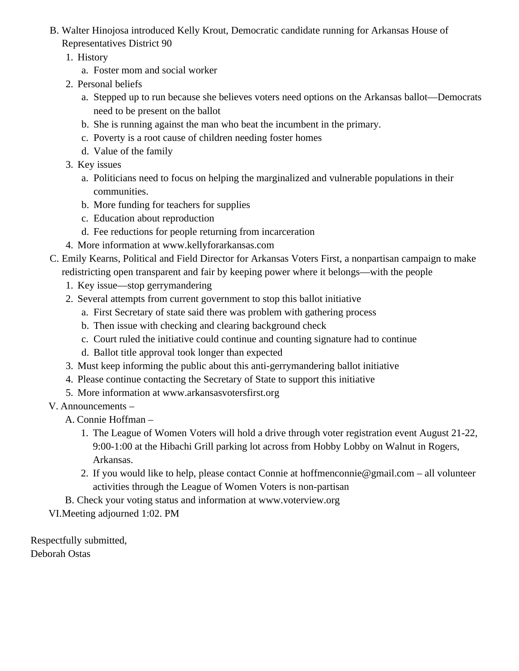- B. Walter Hinojosa introduced Kelly Krout, Democratic candidate running for Arkansas House of Representatives District 90
	- 1. History
		- a. Foster mom and social worker
	- 2. Personal beliefs
		- a. Stepped up to run because she believes voters need options on the Arkansas ballot—Democrats need to be present on the ballot
		- b. She is running against the man who beat the incumbent in the primary.
		- c. Poverty is a root cause of children needing foster homes
		- d. Value of the family
	- 3. Key issues
		- a. Politicians need to focus on helping the marginalized and vulnerable populations in their communities.
		- b. More funding for teachers for supplies
		- c. Education about reproduction
		- d. Fee reductions for people returning from incarceration
	- 4. More information at www.kellyforarkansas.com
- C. Emily Kearns, Political and Field Director for Arkansas Voters First, a nonpartisan campaign to make redistricting open transparent and fair by keeping power where it belongs—with the people
	- 1. Key issue—stop gerrymandering
	- 2. Several attempts from current government to stop this ballot initiative
		- a. First Secretary of state said there was problem with gathering process
		- b. Then issue with checking and clearing background check
		- c. Court ruled the initiative could continue and counting signature had to continue
		- d. Ballot title approval took longer than expected
	- 3. Must keep informing the public about this anti-gerrymandering ballot initiative
	- 4. Please continue contacting the Secretary of State to support this initiative
	- 5. More information at www.arkansasvotersfirst.org
- V. Announcements
	- A. Connie Hoffman
		- 1. The League of Women Voters will hold a drive through voter registration event August 21-22, 9:00-1:00 at the Hibachi Grill parking lot across from Hobby Lobby on Walnut in Rogers, Arkansas.
		- 2. If you would like to help, please contact Connie at hoffmenconnie@gmail.com all volunteer activities through the League of Women Voters is non-partisan
	- B. Check your voting status and information at www.voterview.org

VI.Meeting adjourned 1:02. PM

Respectfully submitted, Deborah Ostas